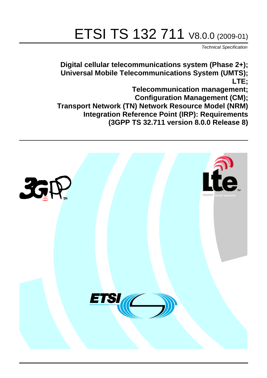# ETSI TS 132 711 V8.0.0 (2009-01)

*Technical Specification*

**Digital cellular telecommunications system (Phase 2+); Universal Mobile Telecommunications System (UMTS); LTE;**

**Telecommunication management; Configuration Management (CM); Transport Network (TN) Network Resource Model (NRM) Integration Reference Point (IRP): Requirements (3GPP TS 32.711 version 8.0.0 Release 8)**

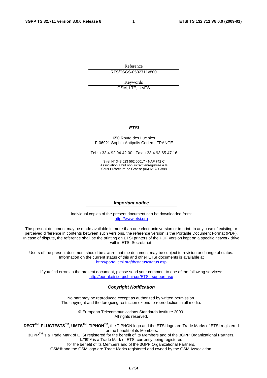Reference RTS/TSGS-0532711v800

Keywords

GSM, LTE, UMTS

#### *ETSI*

#### 650 Route des Lucioles F-06921 Sophia Antipolis Cedex - FRANCE

Tel.: +33 4 92 94 42 00 Fax: +33 4 93 65 47 16

Siret N° 348 623 562 00017 - NAF 742 C Association à but non lucratif enregistrée à la Sous-Préfecture de Grasse (06) N° 7803/88

#### *Important notice*

Individual copies of the present document can be downloaded from: [http://www.etsi.org](http://www.etsi.org/)

The present document may be made available in more than one electronic version or in print. In any case of existing or perceived difference in contents between such versions, the reference version is the Portable Document Format (PDF). In case of dispute, the reference shall be the printing on ETSI printers of the PDF version kept on a specific network drive within ETSI Secretariat.

Users of the present document should be aware that the document may be subject to revision or change of status. Information on the current status of this and other ETSI documents is available at <http://portal.etsi.org/tb/status/status.asp>

If you find errors in the present document, please send your comment to one of the following services: [http://portal.etsi.org/chaircor/ETSI\\_support.asp](http://portal.etsi.org/chaircor/ETSI_support.asp)

#### *Copyright Notification*

No part may be reproduced except as authorized by written permission. The copyright and the foregoing restriction extend to reproduction in all media.

> © European Telecommunications Standards Institute 2009. All rights reserved.

**DECT**TM, **PLUGTESTS**TM, **UMTS**TM, **TIPHON**TM, the TIPHON logo and the ETSI logo are Trade Marks of ETSI registered for the benefit of its Members.

**3GPP**TM is a Trade Mark of ETSI registered for the benefit of its Members and of the 3GPP Organizational Partners. **LTE**™ is a Trade Mark of ETSI currently being registered

for the benefit of its Members and of the 3GPP Organizational Partners.

**GSM**® and the GSM logo are Trade Marks registered and owned by the GSM Association.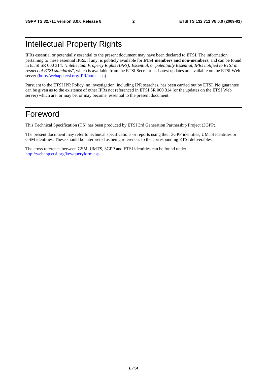### Intellectual Property Rights

IPRs essential or potentially essential to the present document may have been declared to ETSI. The information pertaining to these essential IPRs, if any, is publicly available for **ETSI members and non-members**, and can be found in ETSI SR 000 314: *"Intellectual Property Rights (IPRs); Essential, or potentially Essential, IPRs notified to ETSI in respect of ETSI standards"*, which is available from the ETSI Secretariat. Latest updates are available on the ETSI Web server [\(http://webapp.etsi.org/IPR/home.asp](http://webapp.etsi.org/IPR/home.asp)).

Pursuant to the ETSI IPR Policy, no investigation, including IPR searches, has been carried out by ETSI. No guarantee can be given as to the existence of other IPRs not referenced in ETSI SR 000 314 (or the updates on the ETSI Web server) which are, or may be, or may become, essential to the present document.

#### Foreword

This Technical Specification (TS) has been produced by ETSI 3rd Generation Partnership Project (3GPP).

The present document may refer to technical specifications or reports using their 3GPP identities, UMTS identities or GSM identities. These should be interpreted as being references to the corresponding ETSI deliverables.

The cross reference between GSM, UMTS, 3GPP and ETSI identities can be found under <http://webapp.etsi.org/key/queryform.asp>.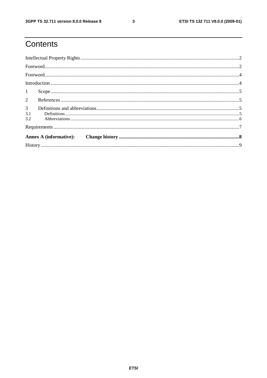# Contents

| 1                            |  |
|------------------------------|--|
|                              |  |
| 3 <sup>7</sup><br>3.1<br>3.2 |  |
|                              |  |
|                              |  |
|                              |  |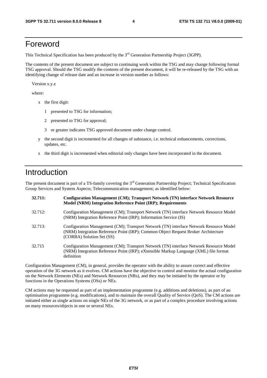#### Foreword

This Technical Specification has been produced by the 3<sup>rd</sup> Generation Partnership Project (3GPP).

The contents of the present document are subject to continuing work within the TSG and may change following formal TSG approval. Should the TSG modify the contents of the present document, it will be re-released by the TSG with an identifying change of release date and an increase in version number as follows:

Version x.y.z

where:

- x the first digit:
	- 1 presented to TSG for information;
	- 2 presented to TSG for approval;
	- 3 or greater indicates TSG approved document under change control.
- y the second digit is incremented for all changes of substance, i.e. technical enhancements, corrections, updates, etc.
- z the third digit is incremented when editorial only changes have been incorporated in the document.

### Introduction

The present document is part of a TS-family covering the 3<sup>rd</sup> Generation Partnership Project; Technical Specification Group Services and System Aspects; Telecommunication management; as identified below:

| 32.711: | Configuration Management (CM); Transport Network (TN) interface Network Resource<br>Model (NRM) Integration Reference Point (IRP); Requirements                                                           |
|---------|-----------------------------------------------------------------------------------------------------------------------------------------------------------------------------------------------------------|
| 32.712: | Configuration Management (CM); Transport Network (TN) interface Network Resource Model<br>(NRM) Integration Reference Point (IRP); Information Service (IS)                                               |
| 32.713: | Configuration Management (CM); Transport Network (TN) interface Network Resource Model<br>(NRM) Integration Reference Point (IRP); Common Object Request Broker Architecture<br>(CORBA) Solution Set (SS) |
| 32.715  | Configuration Management (CM); Transport Network (TN) interface Network Resource Model<br>(NRM) Integration Reference Point (IRP); eXtensible Markup Language (XML) file format<br>definition             |

Configuration Management (CM), in general, provides the operator with the ability to assure correct and effective operation of the 3G network as it evolves. CM actions have the objective to control and monitor the actual configuration on the Network Elements (NEs) and Network Resources (NRs), and they may be initiated by the operator or by functions in the Operations Systems (OSs) or NEs.

CM actions may be requested as part of an implementation programme (e.g. additions and deletions), as part of an optimisation programme (e.g. modifications), and to maintain the overall Quality of Service (QoS). The CM actions are initiated either as single actions on single NEs of the 3G network, or as part of a complex procedure involving actions on many resources/objects in one or several NEs.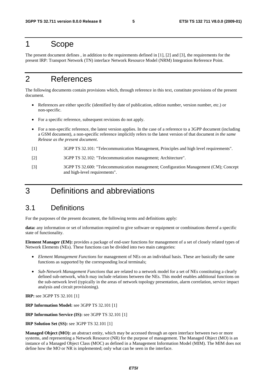#### 1 Scope

The present document defines , in addition to the requirements defined in [1], [2] and [3], the requirements for the present IRP: Transport Network (TN) interface Network Resource Model (NRM) Integration Reference Point.

### 2 References

The following documents contain provisions which, through reference in this text, constitute provisions of the present document.

- References are either specific (identified by date of publication, edition number, version number, etc.) or non-specific.
- For a specific reference, subsequent revisions do not apply.
- For a non-specific reference, the latest version applies. In the case of a reference to a 3GPP document (including a GSM document), a non-specific reference implicitly refers to the latest version of that document *in the same Release as the present document*.
- [1] 3GPP TS 32.101: "Telecommunication Management, Principles and high level requirements".
- [2] 3GPP TS 32.102: "Telecommunication management; Architecture".
- [3] 3GPP TS 32.600: "Telecommunication management; Configuration Management (CM); Concept and high-level requirements".

### 3 Definitions and abbreviations

#### 3.1 Definitions

For the purposes of the present document, the following terms and definitions apply:

**data:** any information or set of information required to give software or equipment or combinations thereof a specific state of functionality.

**Element Manager (EM):** provides a package of end-user functions for management of a set of closely related types of Network Elements (NEs). These functions can be divided into two main categories:

- *Element Management Functions* for management of NEs on an individual basis. These are basically the same functions as supported by the corresponding local terminals;
- *Sub-Network Management Functions* that are related to a network model for a set of NEs constituting a clearly defined sub-network, which may include relations between the NEs. This model enables additional functions on the sub-network level (typically in the areas of network topology presentation, alarm correlation, service impact analysis and circuit provisioning).

**IRP:** see 3GPP TS 32.101 [1]

**IRP Information Model:** see 3GPP TS 32.101 [1]

**IRP Information Service (IS):** see 3GPP TS 32.101 [1]

**IRP Solution Set (SS):** see 3GPP TS 32.101 [1]

**Managed Object (MO):** an abstract entity, which may be accessed through an open interface between two or more systems, and representing a Network Resource (NR) for the purpose of management. The Managed Object (MO) is an instance of a Managed Object Class (MOC) as defined in a Management Information Model (MIM). The MIM does not define how the MO or NR is implemented; only what can be seen in the interface.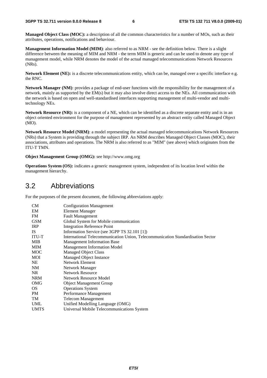**Managed Object Class (MOC):** a description of all the common characteristics for a number of MOs, such as their attributes, operations, notifications and behaviour.

**Management Information Model (MIM)**: also referred to as NRM - see the definition below. There is a slight difference between the meaning of MIM and NRM - the term MIM is generic and can be used to denote any type of management model, while NRM denotes the model of the actual managed telecommunications Network Resources (NRs).

**Network Element (NE):** is a discrete telecommunications entity, which can be, managed over a specific interface e.g. the RNC.

**Network Manager (NM)**: provides a package of end-user functions with the responsibility for the management of a network, mainly as supported by the EM(s) but it may also involve direct access to the NEs. All communication with the network is based on open and well-standardised interfaces supporting management of multi-vendor and multitechnology NEs.

**Network Resource (NR):** is a component of a NE, which can be identified as a discrete separate entity and is in an object oriented environment for the purpose of management represented by an abstract entity called Managed Object (MO).

**Network Resource Model (NRM)**: a model representing the actual managed telecommunications Network Resources (NRs) that a System is providing through the subject IRP. An NRM describes Managed Object Classes (MOC), their associations, attributes and operations. The NRM is also referred to as "MIM" (see above) which originates from the ITU-T TMN.

**Object Management Group (OMG):** see http://www.omg.org

**Operations System (OS):** indicates a generic management system, independent of its location level within the management hierarchy.

#### 3.2 Abbreviations

For the purposes of the present document, the following abbreviations apply:

| <b>CM</b>    | <b>Configuration Management</b>                                                 |
|--------------|---------------------------------------------------------------------------------|
| EM           | <b>Element Manager</b>                                                          |
| FM           | <b>Fault Management</b>                                                         |
| <b>GSM</b>   | Global System for Mobile communication                                          |
| <b>IRP</b>   | <b>Integration Reference Point</b>                                              |
| <b>IS</b>    | Information Service (see 3GPP TS 32.101 [1])                                    |
| <b>ITU-T</b> | International Telecommunication Union, Telecommunication Standardisation Sector |
| MIB          | <b>Management Information Base</b>                                              |
| <b>MIM</b>   | <b>Management Information Model</b>                                             |
| <b>MOC</b>   | Managed Object Class                                                            |
| MOI          | Managed Object Instance                                                         |
| <b>NE</b>    | <b>Network Element</b>                                                          |
| NM           | Network Manager                                                                 |
| <b>NR</b>    | <b>Network Resource</b>                                                         |
| <b>NRM</b>   | Network Resource Model                                                          |
| <b>OMG</b>   | <b>Object Management Group</b>                                                  |
| OS.          | <b>Operations System</b>                                                        |
| <b>PM</b>    | Performance Management                                                          |
| <b>TM</b>    | <b>Telecom Management</b>                                                       |
| UML          | Unified Modelling Language (OMG)                                                |
| <b>UMTS</b>  | Universal Mobile Telecommunications System                                      |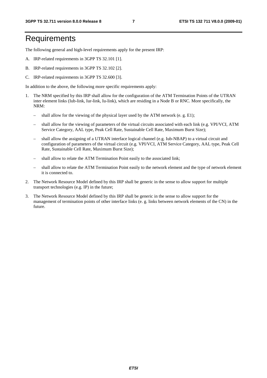### **Requirements**

The following general and high-level requirements apply for the present IRP:

- A. IRP-related requirements in 3GPP TS 32.101 [1].
- B. IRP-related requirements in 3GPP TS 32.102 [2].
- C. IRP-related requirements in 3GPP TS 32.600 [3].

In addition to the above, the following more specific requirements apply:

- 1. The NRM specified by this IRP shall allow for the configuration of the ATM Termination Points of the UTRAN inter element links (Iub-link, Iur-link, Iu-link), which are residing in a Node B or RNC. More specifically, the NRM:
	- shall allow for the viewing of the physical layer used by the ATM network (e. g. E1);
	- shall allow for the viewing of parameters of the virtual circuits associated with each link (e.g. VPI/VCI, ATM Service Category, AAL type, Peak Cell Rate, Sustainable Cell Rate, Maximum Burst Size);
	- shall allow the assigning of a UTRAN interface logical channel (e.g. Iub-NBAP) to a virtual circuit and configuration of parameters of the virtual circuit (e.g. VPI/VCI, ATM Service Category, AAL type, Peak Cell Rate, Sustainable Cell Rate, Maximum Burst Size);
	- shall allow to relate the ATM Termination Point easily to the associated link;
	- shall allow to relate the ATM Termination Point easily to the network element and the type of network element it is connected to.
- 2. The Network Resource Model defined by this IRP shall be generic in the sense to allow support for multiple transport technologies (e.g. IP) in the future;
- 3. The Network Resource Model defined by this IRP shall be generic in the sense to allow support for the management of termination points of other interface links (e. g. links between network elements of the CN) in the future.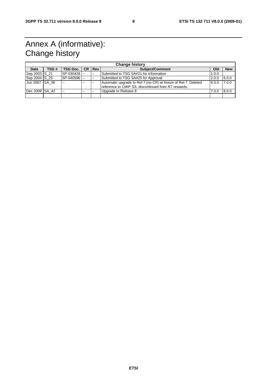## Annex A (informative): Change history

| <b>Change history</b> |       |               |       |                |                                                                |       |            |
|-----------------------|-------|---------------|-------|----------------|----------------------------------------------------------------|-------|------------|
| Date                  | TSG # | TSG Doc.   CR |       | l Rev          | <b>Subject/Comment</b>                                         | Old   | <b>New</b> |
| Sep 2003 S 21         |       | SP-030428     |       | $\overline{a}$ | Submitted to TSG SA#21 for Information                         | 1.0.0 |            |
| Sep 2004 S 25         |       | SP-040596     |       | $\sim$         | Submitted to TSG SA#25 for Approval                            | 2.0.0 | 6.0.0      |
| Jun 2007 ISA 36       |       | $-$           | $- -$ | --             | Automatic upgrade to Rel-7 (no CR) at freeze of Rel-7. Deleted | 6.0.0 | 7.0.0      |
|                       |       |               |       |                | reference to CMIP SS, discontinued from R7 onwards.            |       |            |
| Dec 2008 SA 42        |       |               | $- -$ | --             | Upgrade to Release 8                                           | 7.0.0 | 8.0.0      |
|                       |       |               |       |                |                                                                |       |            |